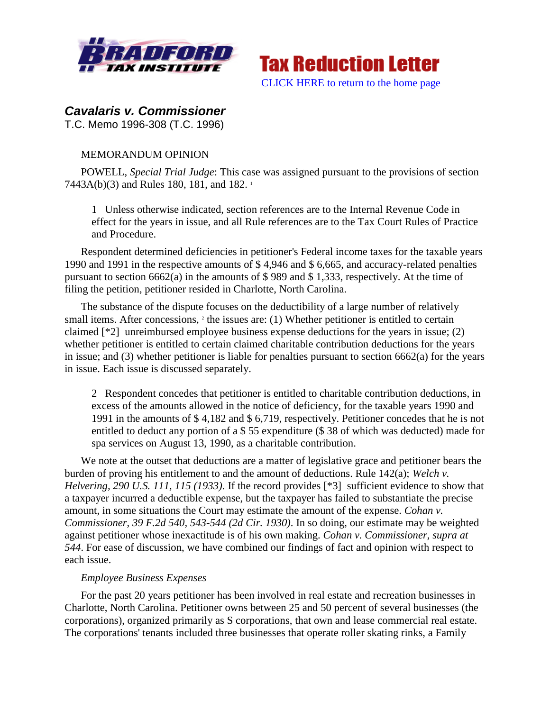



# *Cavalaris v. Commissioner*

T.C. Memo 1996-308 (T.C. 1996)

## MEMORANDUM OPINION

POWELL, *Special Trial Judge*: This case was assigned pursuant to the provisions of section 7443A(b)(3) and Rules 180, 181, and 182. <sup>1</sup>

1 Unless otherwise indicated, section references are to the Internal Revenue Code in effect for the years in issue, and all Rule references are to the Tax Court Rules of Practice and Procedure.

Respondent determined deficiencies in petitioner's Federal income taxes for the taxable years 1990 and 1991 in the respective amounts of \$ 4,946 and \$ 6,665, and accuracy-related penalties pursuant to section 6662(a) in the amounts of \$ 989 and \$ 1,333, respectively. At the time of filing the petition, petitioner resided in Charlotte, North Carolina.

The substance of the dispute focuses on the deductibility of a large number of relatively small items. After concessions, <sup>2</sup> the issues are: (1) Whether petitioner is entitled to certain claimed [\*2] unreimbursed employee business expense deductions for the years in issue; (2) whether petitioner is entitled to certain claimed charitable contribution deductions for the years in issue; and (3) whether petitioner is liable for penalties pursuant to section 6662(a) for the years in issue. Each issue is discussed separately.

2 Respondent concedes that petitioner is entitled to charitable contribution deductions, in excess of the amounts allowed in the notice of deficiency, for the taxable years 1990 and 1991 in the amounts of \$ 4,182 and \$ 6,719, respectively. Petitioner concedes that he is not entitled to deduct any portion of a \$ 55 expenditure (\$ 38 of which was deducted) made for spa services on August 13, 1990, as a charitable contribution.

We note at the outset that deductions are a matter of legislative grace and petitioner bears the burden of proving his entitlement to and the amount of deductions. Rule 142(a); *Welch v. Helvering, 290 U.S. 111, 115 (1933)*. If the record provides [\*3] sufficient evidence to show that a taxpayer incurred a deductible expense, but the taxpayer has failed to substantiate the precise amount, in some situations the Court may estimate the amount of the expense. *Cohan v. Commissioner, 39 F.2d 540, 543-544 (2d Cir. 1930)*. In so doing, our estimate may be weighted against petitioner whose inexactitude is of his own making. *Cohan v. Commissioner, supra at 544*. For ease of discussion, we have combined our findings of fact and opinion with respect to each issue.

### *Employee Business Expenses*

For the past 20 years petitioner has been involved in real estate and recreation businesses in Charlotte, North Carolina. Petitioner owns between 25 and 50 percent of several businesses (the corporations), organized primarily as S corporations, that own and lease commercial real estate. The corporations' tenants included three businesses that operate roller skating rinks, a Family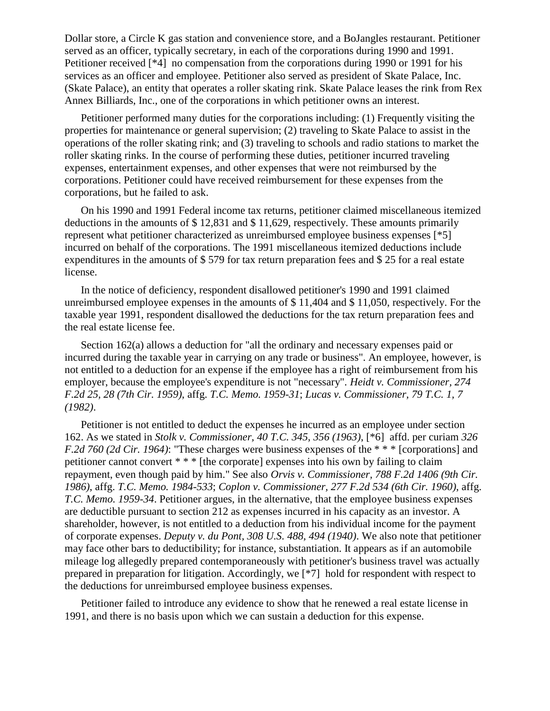Dollar store, a Circle K gas station and convenience store, and a BoJangles restaurant. Petitioner served as an officer, typically secretary, in each of the corporations during 1990 and 1991. Petitioner received [\*4] no compensation from the corporations during 1990 or 1991 for his services as an officer and employee. Petitioner also served as president of Skate Palace, Inc. (Skate Palace), an entity that operates a roller skating rink. Skate Palace leases the rink from Rex Annex Billiards, Inc., one of the corporations in which petitioner owns an interest.

Petitioner performed many duties for the corporations including: (1) Frequently visiting the properties for maintenance or general supervision; (2) traveling to Skate Palace to assist in the operations of the roller skating rink; and (3) traveling to schools and radio stations to market the roller skating rinks. In the course of performing these duties, petitioner incurred traveling expenses, entertainment expenses, and other expenses that were not reimbursed by the corporations. Petitioner could have received reimbursement for these expenses from the corporations, but he failed to ask.

On his 1990 and 1991 Federal income tax returns, petitioner claimed miscellaneous itemized deductions in the amounts of \$ 12,831 and \$ 11,629, respectively. These amounts primarily represent what petitioner characterized as unreimbursed employee business expenses [\*5] incurred on behalf of the corporations. The 1991 miscellaneous itemized deductions include expenditures in the amounts of \$ 579 for tax return preparation fees and \$ 25 for a real estate license.

In the notice of deficiency, respondent disallowed petitioner's 1990 and 1991 claimed unreimbursed employee expenses in the amounts of \$ 11,404 and \$ 11,050, respectively. For the taxable year 1991, respondent disallowed the deductions for the tax return preparation fees and the real estate license fee.

Section 162(a) allows a deduction for "all the ordinary and necessary expenses paid or incurred during the taxable year in carrying on any trade or business". An employee, however, is not entitled to a deduction for an expense if the employee has a right of reimbursement from his employer, because the employee's expenditure is not "necessary". *Heidt v. Commissioner, 274 F.2d 25, 28 (7th Cir. 1959)*, affg. *T.C. Memo. 1959-31*; *Lucas v. Commissioner, 79 T.C. 1, 7 (1982)*.

Petitioner is not entitled to deduct the expenses he incurred as an employee under section 162. As we stated in *Stolk v. Commissioner, 40 T.C. 345, 356 (1963)*, [\*6] affd. per curiam *326 F.2d 760 (2d Cir. 1964)*: "These charges were business expenses of the \* \* \* [corporations] and petitioner cannot convert \* \* \* [the corporate] expenses into his own by failing to claim repayment, even though paid by him." See also *Orvis v. Commissioner, 788 F.2d 1406 (9th Cir. 1986)*, affg. *T.C. Memo. 1984-533*; *Coplon v. Commissioner, 277 F.2d 534 (6th Cir. 1960)*, affg. *T.C. Memo. 1959-34*. Petitioner argues, in the alternative, that the employee business expenses are deductible pursuant to section 212 as expenses incurred in his capacity as an investor. A shareholder, however, is not entitled to a deduction from his individual income for the payment of corporate expenses. *Deputy v. du Pont, 308 U.S. 488, 494 (1940)*. We also note that petitioner may face other bars to deductibility; for instance, substantiation. It appears as if an automobile mileage log allegedly prepared contemporaneously with petitioner's business travel was actually prepared in preparation for litigation. Accordingly, we [\*7] hold for respondent with respect to the deductions for unreimbursed employee business expenses.

Petitioner failed to introduce any evidence to show that he renewed a real estate license in 1991, and there is no basis upon which we can sustain a deduction for this expense.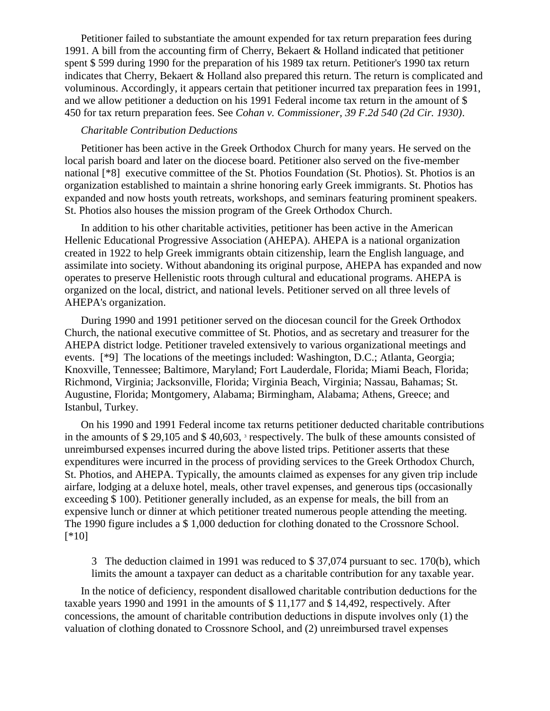Petitioner failed to substantiate the amount expended for tax return preparation fees during 1991. A bill from the accounting firm of Cherry, Bekaert & Holland indicated that petitioner spent \$ 599 during 1990 for the preparation of his 1989 tax return. Petitioner's 1990 tax return indicates that Cherry, Bekaert & Holland also prepared this return. The return is complicated and voluminous. Accordingly, it appears certain that petitioner incurred tax preparation fees in 1991, and we allow petitioner a deduction on his 1991 Federal income tax return in the amount of \$ 450 for tax return preparation fees. See *Cohan v. Commissioner, 39 F.2d 540 (2d Cir. 1930)*.

#### *Charitable Contribution Deductions*

Petitioner has been active in the Greek Orthodox Church for many years. He served on the local parish board and later on the diocese board. Petitioner also served on the five-member national [\*8] executive committee of the St. Photios Foundation (St. Photios). St. Photios is an organization established to maintain a shrine honoring early Greek immigrants. St. Photios has expanded and now hosts youth retreats, workshops, and seminars featuring prominent speakers. St. Photios also houses the mission program of the Greek Orthodox Church.

In addition to his other charitable activities, petitioner has been active in the American Hellenic Educational Progressive Association (AHEPA). AHEPA is a national organization created in 1922 to help Greek immigrants obtain citizenship, learn the English language, and assimilate into society. Without abandoning its original purpose, AHEPA has expanded and now operates to preserve Hellenistic roots through cultural and educational programs. AHEPA is organized on the local, district, and national levels. Petitioner served on all three levels of AHEPA's organization.

During 1990 and 1991 petitioner served on the diocesan council for the Greek Orthodox Church, the national executive committee of St. Photios, and as secretary and treasurer for the AHEPA district lodge. Petitioner traveled extensively to various organizational meetings and events. [\*9] The locations of the meetings included: Washington, D.C.; Atlanta, Georgia; Knoxville, Tennessee; Baltimore, Maryland; Fort Lauderdale, Florida; Miami Beach, Florida; Richmond, Virginia; Jacksonville, Florida; Virginia Beach, Virginia; Nassau, Bahamas; St. Augustine, Florida; Montgomery, Alabama; Birmingham, Alabama; Athens, Greece; and Istanbul, Turkey.

On his 1990 and 1991 Federal income tax returns petitioner deducted charitable contributions in the amounts of \$29,105 and \$40,603, <sup>3</sup> respectively. The bulk of these amounts consisted of unreimbursed expenses incurred during the above listed trips. Petitioner asserts that these expenditures were incurred in the process of providing services to the Greek Orthodox Church, St. Photios, and AHEPA. Typically, the amounts claimed as expenses for any given trip include airfare, lodging at a deluxe hotel, meals, other travel expenses, and generous tips (occasionally exceeding \$ 100). Petitioner generally included, as an expense for meals, the bill from an expensive lunch or dinner at which petitioner treated numerous people attending the meeting. The 1990 figure includes a \$ 1,000 deduction for clothing donated to the Crossnore School. [\*10]

3 The deduction claimed in 1991 was reduced to \$ 37,074 pursuant to sec. 170(b), which limits the amount a taxpayer can deduct as a charitable contribution for any taxable year.

In the notice of deficiency, respondent disallowed charitable contribution deductions for the taxable years 1990 and 1991 in the amounts of \$ 11,177 and \$ 14,492, respectively. After concessions, the amount of charitable contribution deductions in dispute involves only (1) the valuation of clothing donated to Crossnore School, and (2) unreimbursed travel expenses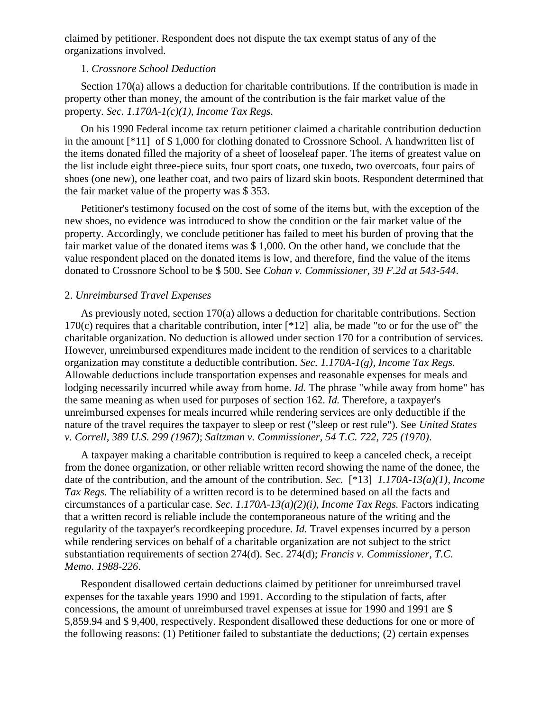claimed by petitioner. Respondent does not dispute the tax exempt status of any of the organizations involved.

#### 1. *Crossnore School Deduction*

Section 170(a) allows a deduction for charitable contributions. If the contribution is made in property other than money, the amount of the contribution is the fair market value of the property. *Sec. 1.170A-1(c)(1), Income Tax Regs.*

On his 1990 Federal income tax return petitioner claimed a charitable contribution deduction in the amount [\*11] of \$ 1,000 for clothing donated to Crossnore School. A handwritten list of the items donated filled the majority of a sheet of looseleaf paper. The items of greatest value on the list include eight three-piece suits, four sport coats, one tuxedo, two overcoats, four pairs of shoes (one new), one leather coat, and two pairs of lizard skin boots. Respondent determined that the fair market value of the property was \$ 353.

Petitioner's testimony focused on the cost of some of the items but, with the exception of the new shoes, no evidence was introduced to show the condition or the fair market value of the property. Accordingly, we conclude petitioner has failed to meet his burden of proving that the fair market value of the donated items was \$ 1,000. On the other hand, we conclude that the value respondent placed on the donated items is low, and therefore, find the value of the items donated to Crossnore School to be \$ 500. See *Cohan v. Commissioner, 39 F.2d at 543-544*.

#### 2. *Unreimbursed Travel Expenses*

As previously noted, section 170(a) allows a deduction for charitable contributions. Section 170(c) requires that a charitable contribution, inter  $[^{*}12]$  alia, be made "to or for the use of" the charitable organization. No deduction is allowed under section 170 for a contribution of services. However, unreimbursed expenditures made incident to the rendition of services to a charitable organization may constitute a deductible contribution. *Sec. 1.170A-1(g), Income Tax Regs.* Allowable deductions include transportation expenses and reasonable expenses for meals and lodging necessarily incurred while away from home. *Id.* The phrase "while away from home" has the same meaning as when used for purposes of section 162. *Id.* Therefore, a taxpayer's unreimbursed expenses for meals incurred while rendering services are only deductible if the nature of the travel requires the taxpayer to sleep or rest ("sleep or rest rule"). See *United States v. Correll, 389 U.S. 299 (1967)*; *Saltzman v. Commissioner, 54 T.C. 722, 725 (1970)*.

A taxpayer making a charitable contribution is required to keep a canceled check, a receipt from the donee organization, or other reliable written record showing the name of the donee, the date of the contribution, and the amount of the contribution. *Sec.* [\*13] *1.170A-13(a)(1), Income Tax Regs.* The reliability of a written record is to be determined based on all the facts and circumstances of a particular case. *Sec. 1.170A-13(a)(2)(i), Income Tax Regs.* Factors indicating that a written record is reliable include the contemporaneous nature of the writing and the regularity of the taxpayer's recordkeeping procedure. *Id.* Travel expenses incurred by a person while rendering services on behalf of a charitable organization are not subject to the strict substantiation requirements of section 274(d). Sec. 274(d); *Francis v. Commissioner, T.C. Memo. 1988-226*.

Respondent disallowed certain deductions claimed by petitioner for unreimbursed travel expenses for the taxable years 1990 and 1991. According to the stipulation of facts, after concessions, the amount of unreimbursed travel expenses at issue for 1990 and 1991 are \$ 5,859.94 and \$ 9,400, respectively. Respondent disallowed these deductions for one or more of the following reasons: (1) Petitioner failed to substantiate the deductions; (2) certain expenses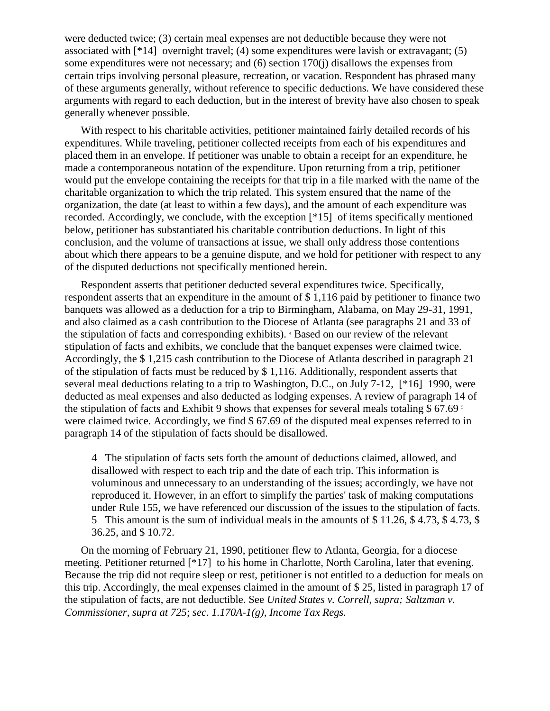were deducted twice; (3) certain meal expenses are not deductible because they were not associated with [\*14] overnight travel; (4) some expenditures were lavish or extravagant; (5) some expenditures were not necessary; and (6) section 170(j) disallows the expenses from certain trips involving personal pleasure, recreation, or vacation. Respondent has phrased many of these arguments generally, without reference to specific deductions. We have considered these arguments with regard to each deduction, but in the interest of brevity have also chosen to speak generally whenever possible.

With respect to his charitable activities, petitioner maintained fairly detailed records of his expenditures. While traveling, petitioner collected receipts from each of his expenditures and placed them in an envelope. If petitioner was unable to obtain a receipt for an expenditure, he made a contemporaneous notation of the expenditure. Upon returning from a trip, petitioner would put the envelope containing the receipts for that trip in a file marked with the name of the charitable organization to which the trip related. This system ensured that the name of the organization, the date (at least to within a few days), and the amount of each expenditure was recorded. Accordingly, we conclude, with the exception [\*15] of items specifically mentioned below, petitioner has substantiated his charitable contribution deductions. In light of this conclusion, and the volume of transactions at issue, we shall only address those contentions about which there appears to be a genuine dispute, and we hold for petitioner with respect to any of the disputed deductions not specifically mentioned herein.

Respondent asserts that petitioner deducted several expenditures twice. Specifically, respondent asserts that an expenditure in the amount of \$ 1,116 paid by petitioner to finance two banquets was allowed as a deduction for a trip to Birmingham, Alabama, on May 29-31, 1991, and also claimed as a cash contribution to the Diocese of Atlanta (see paragraphs 21 and 33 of the stipulation of facts and corresponding exhibits). <sup>4</sup> Based on our review of the relevant stipulation of facts and exhibits, we conclude that the banquet expenses were claimed twice. Accordingly, the \$ 1,215 cash contribution to the Diocese of Atlanta described in paragraph 21 of the stipulation of facts must be reduced by \$ 1,116. Additionally, respondent asserts that several meal deductions relating to a trip to Washington, D.C., on July 7-12, [\*16] 1990, were deducted as meal expenses and also deducted as lodging expenses. A review of paragraph 14 of the stipulation of facts and Exhibit 9 shows that expenses for several meals totaling \$ 67.69 <sup>5</sup> were claimed twice. Accordingly, we find \$ 67.69 of the disputed meal expenses referred to in paragraph 14 of the stipulation of facts should be disallowed.

4 The stipulation of facts sets forth the amount of deductions claimed, allowed, and disallowed with respect to each trip and the date of each trip. This information is voluminous and unnecessary to an understanding of the issues; accordingly, we have not reproduced it. However, in an effort to simplify the parties' task of making computations under Rule 155, we have referenced our discussion of the issues to the stipulation of facts. 5 This amount is the sum of individual meals in the amounts of \$ 11.26, \$ 4.73, \$ 4.73, \$ 36.25, and \$ 10.72.

On the morning of February 21, 1990, petitioner flew to Atlanta, Georgia, for a diocese meeting. Petitioner returned [\*17] to his home in Charlotte, North Carolina, later that evening. Because the trip did not require sleep or rest, petitioner is not entitled to a deduction for meals on this trip. Accordingly, the meal expenses claimed in the amount of \$ 25, listed in paragraph 17 of the stipulation of facts, are not deductible. See *United States v. Correll, supra; Saltzman v. Commissioner, supra at 725*; *sec. 1.170A-1(g), Income Tax Regs.*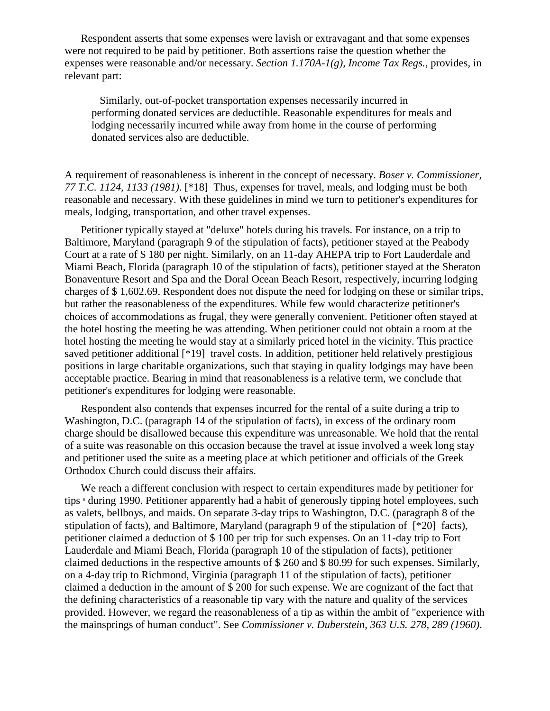Respondent asserts that some expenses were lavish or extravagant and that some expenses were not required to be paid by petitioner. Both assertions raise the question whether the expenses were reasonable and/or necessary. *Section 1.170A-1(g), Income Tax Regs.*, provides, in relevant part:

 Similarly, out-of-pocket transportation expenses necessarily incurred in performing donated services are deductible. Reasonable expenditures for meals and lodging necessarily incurred while away from home in the course of performing donated services also are deductible.

A requirement of reasonableness is inherent in the concept of necessary. *Boser v. Commissioner, 77 T.C. 1124, 1133 (1981)*. [\*18] Thus, expenses for travel, meals, and lodging must be both reasonable and necessary. With these guidelines in mind we turn to petitioner's expenditures for meals, lodging, transportation, and other travel expenses.

Petitioner typically stayed at "deluxe" hotels during his travels. For instance, on a trip to Baltimore, Maryland (paragraph 9 of the stipulation of facts), petitioner stayed at the Peabody Court at a rate of \$ 180 per night. Similarly, on an 11-day AHEPA trip to Fort Lauderdale and Miami Beach, Florida (paragraph 10 of the stipulation of facts), petitioner stayed at the Sheraton Bonaventure Resort and Spa and the Doral Ocean Beach Resort, respectively, incurring lodging charges of \$ 1,602.69. Respondent does not dispute the need for lodging on these or similar trips, but rather the reasonableness of the expenditures. While few would characterize petitioner's choices of accommodations as frugal, they were generally convenient. Petitioner often stayed at the hotel hosting the meeting he was attending. When petitioner could not obtain a room at the hotel hosting the meeting he would stay at a similarly priced hotel in the vicinity. This practice saved petitioner additional [\*19] travel costs. In addition, petitioner held relatively prestigious positions in large charitable organizations, such that staying in quality lodgings may have been acceptable practice. Bearing in mind that reasonableness is a relative term, we conclude that petitioner's expenditures for lodging were reasonable.

Respondent also contends that expenses incurred for the rental of a suite during a trip to Washington, D.C. (paragraph 14 of the stipulation of facts), in excess of the ordinary room charge should be disallowed because this expenditure was unreasonable. We hold that the rental of a suite was reasonable on this occasion because the travel at issue involved a week long stay and petitioner used the suite as a meeting place at which petitioner and officials of the Greek Orthodox Church could discuss their affairs.

We reach a different conclusion with respect to certain expenditures made by petitioner for tips <sup>6</sup> during 1990. Petitioner apparently had a habit of generously tipping hotel employees, such as valets, bellboys, and maids. On separate 3-day trips to Washington, D.C. (paragraph 8 of the stipulation of facts), and Baltimore, Maryland (paragraph 9 of the stipulation of [\*20] facts), petitioner claimed a deduction of \$ 100 per trip for such expenses. On an 11-day trip to Fort Lauderdale and Miami Beach, Florida (paragraph 10 of the stipulation of facts), petitioner claimed deductions in the respective amounts of \$ 260 and \$ 80.99 for such expenses. Similarly, on a 4-day trip to Richmond, Virginia (paragraph 11 of the stipulation of facts), petitioner claimed a deduction in the amount of \$ 200 for such expense. We are cognizant of the fact that the defining characteristics of a reasonable tip vary with the nature and quality of the services provided. However, we regard the reasonableness of a tip as within the ambit of "experience with the mainsprings of human conduct". See *Commissioner v. Duberstein, 363 U.S. 278, 289 (1960)*.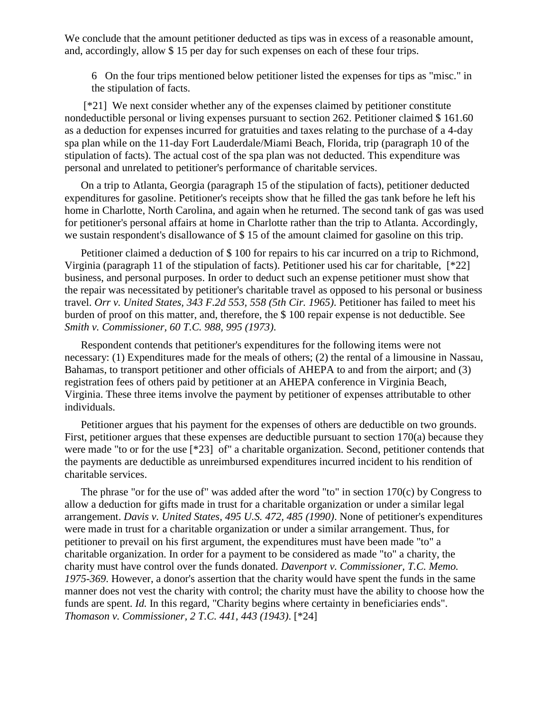We conclude that the amount petitioner deducted as tips was in excess of a reasonable amount, and, accordingly, allow \$ 15 per day for such expenses on each of these four trips.

6 On the four trips mentioned below petitioner listed the expenses for tips as "misc." in the stipulation of facts.

[\*21] We next consider whether any of the expenses claimed by petitioner constitute nondeductible personal or living expenses pursuant to section 262. Petitioner claimed \$ 161.60 as a deduction for expenses incurred for gratuities and taxes relating to the purchase of a 4-day spa plan while on the 11-day Fort Lauderdale/Miami Beach, Florida, trip (paragraph 10 of the stipulation of facts). The actual cost of the spa plan was not deducted. This expenditure was personal and unrelated to petitioner's performance of charitable services.

On a trip to Atlanta, Georgia (paragraph 15 of the stipulation of facts), petitioner deducted expenditures for gasoline. Petitioner's receipts show that he filled the gas tank before he left his home in Charlotte, North Carolina, and again when he returned. The second tank of gas was used for petitioner's personal affairs at home in Charlotte rather than the trip to Atlanta. Accordingly, we sustain respondent's disallowance of \$ 15 of the amount claimed for gasoline on this trip.

Petitioner claimed a deduction of \$ 100 for repairs to his car incurred on a trip to Richmond, Virginia (paragraph 11 of the stipulation of facts). Petitioner used his car for charitable, [\*22] business, and personal purposes. In order to deduct such an expense petitioner must show that the repair was necessitated by petitioner's charitable travel as opposed to his personal or business travel. *Orr v. United States, 343 F.2d 553, 558 (5th Cir. 1965)*. Petitioner has failed to meet his burden of proof on this matter, and, therefore, the \$ 100 repair expense is not deductible. See *Smith v. Commissioner, 60 T.C. 988, 995 (1973)*.

Respondent contends that petitioner's expenditures for the following items were not necessary: (1) Expenditures made for the meals of others; (2) the rental of a limousine in Nassau, Bahamas, to transport petitioner and other officials of AHEPA to and from the airport; and (3) registration fees of others paid by petitioner at an AHEPA conference in Virginia Beach, Virginia. These three items involve the payment by petitioner of expenses attributable to other individuals.

Petitioner argues that his payment for the expenses of others are deductible on two grounds. First, petitioner argues that these expenses are deductible pursuant to section 170(a) because they were made "to or for the use [\*23] of" a charitable organization. Second, petitioner contends that the payments are deductible as unreimbursed expenditures incurred incident to his rendition of charitable services.

The phrase "or for the use of" was added after the word "to" in section 170(c) by Congress to allow a deduction for gifts made in trust for a charitable organization or under a similar legal arrangement. *Davis v. United States, 495 U.S. 472, 485 (1990)*. None of petitioner's expenditures were made in trust for a charitable organization or under a similar arrangement. Thus, for petitioner to prevail on his first argument, the expenditures must have been made "to" a charitable organization. In order for a payment to be considered as made "to" a charity, the charity must have control over the funds donated. *Davenport v. Commissioner, T.C. Memo. 1975-369*. However, a donor's assertion that the charity would have spent the funds in the same manner does not vest the charity with control; the charity must have the ability to choose how the funds are spent. *Id.* In this regard, "Charity begins where certainty in beneficiaries ends". *Thomason v. Commissioner, 2 T.C. 441, 443 (1943)*. [\*24]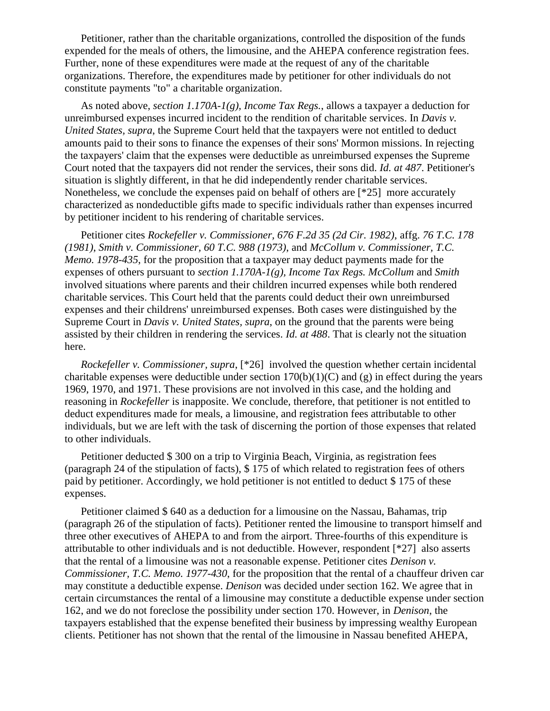Petitioner, rather than the charitable organizations, controlled the disposition of the funds expended for the meals of others, the limousine, and the AHEPA conference registration fees. Further, none of these expenditures were made at the request of any of the charitable organizations. Therefore, the expenditures made by petitioner for other individuals do not constitute payments "to" a charitable organization.

As noted above, *section 1.170A-1(g), Income Tax Regs.*, allows a taxpayer a deduction for unreimbursed expenses incurred incident to the rendition of charitable services. In *Davis v. United States, supra*, the Supreme Court held that the taxpayers were not entitled to deduct amounts paid to their sons to finance the expenses of their sons' Mormon missions. In rejecting the taxpayers' claim that the expenses were deductible as unreimbursed expenses the Supreme Court noted that the taxpayers did not render the services, their sons did. *Id. at 487*. Petitioner's situation is slightly different, in that he did independently render charitable services. Nonetheless, we conclude the expenses paid on behalf of others are [\*25] more accurately characterized as nondeductible gifts made to specific individuals rather than expenses incurred by petitioner incident to his rendering of charitable services.

Petitioner cites *Rockefeller v. Commissioner, 676 F.2d 35 (2d Cir. 1982)*, affg. *76 T.C. 178 (1981)*, *Smith v. Commissioner, 60 T.C. 988 (1973)*, and *McCollum v. Commissioner, T.C. Memo. 1978-435*, for the proposition that a taxpayer may deduct payments made for the expenses of others pursuant to *section 1.170A-1(g), Income Tax Regs. McCollum* and *Smith* involved situations where parents and their children incurred expenses while both rendered charitable services. This Court held that the parents could deduct their own unreimbursed expenses and their childrens' unreimbursed expenses. Both cases were distinguished by the Supreme Court in *Davis v. United States, supra*, on the ground that the parents were being assisted by their children in rendering the services. *Id. at 488*. That is clearly not the situation here.

*Rockefeller v. Commissioner, supra*, [\*26] involved the question whether certain incidental charitable expenses were deductible under section  $170(b)(1)(C)$  and  $(g)$  in effect during the years 1969, 1970, and 1971. These provisions are not involved in this case, and the holding and reasoning in *Rockefeller* is inapposite. We conclude, therefore, that petitioner is not entitled to deduct expenditures made for meals, a limousine, and registration fees attributable to other individuals, but we are left with the task of discerning the portion of those expenses that related to other individuals.

Petitioner deducted \$ 300 on a trip to Virginia Beach, Virginia, as registration fees (paragraph 24 of the stipulation of facts), \$ 175 of which related to registration fees of others paid by petitioner. Accordingly, we hold petitioner is not entitled to deduct \$ 175 of these expenses.

Petitioner claimed \$ 640 as a deduction for a limousine on the Nassau, Bahamas, trip (paragraph 26 of the stipulation of facts). Petitioner rented the limousine to transport himself and three other executives of AHEPA to and from the airport. Three-fourths of this expenditure is attributable to other individuals and is not deductible. However, respondent [\*27] also asserts that the rental of a limousine was not a reasonable expense. Petitioner cites *Denison v. Commissioner, T.C. Memo. 1977-430*, for the proposition that the rental of a chauffeur driven car may constitute a deductible expense. *Denison* was decided under section 162. We agree that in certain circumstances the rental of a limousine may constitute a deductible expense under section 162, and we do not foreclose the possibility under section 170. However, in *Denison*, the taxpayers established that the expense benefited their business by impressing wealthy European clients. Petitioner has not shown that the rental of the limousine in Nassau benefited AHEPA,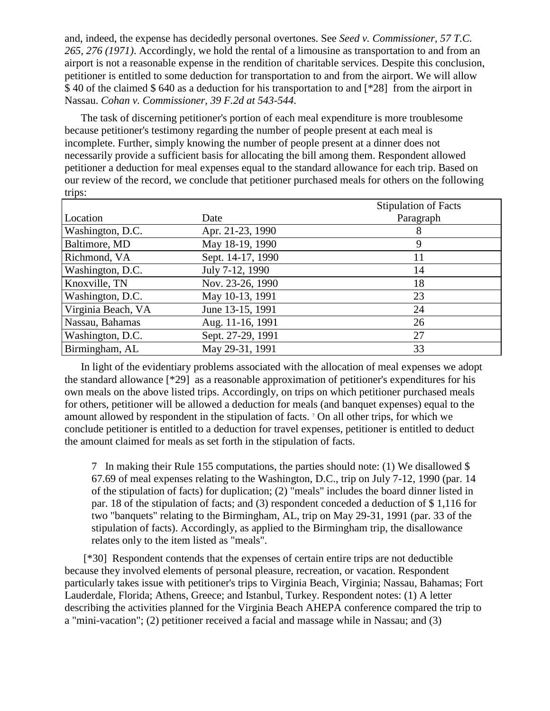and, indeed, the expense has decidedly personal overtones. See *Seed v. Commissioner, 57 T.C. 265, 276 (1971)*. Accordingly, we hold the rental of a limousine as transportation to and from an airport is not a reasonable expense in the rendition of charitable services. Despite this conclusion, petitioner is entitled to some deduction for transportation to and from the airport. We will allow \$ 40 of the claimed \$ 640 as a deduction for his transportation to and [\*28] from the airport in Nassau. *Cohan v. Commissioner, 39 F.2d at 543-544*.

The task of discerning petitioner's portion of each meal expenditure is more troublesome because petitioner's testimony regarding the number of people present at each meal is incomplete. Further, simply knowing the number of people present at a dinner does not necessarily provide a sufficient basis for allocating the bill among them. Respondent allowed petitioner a deduction for meal expenses equal to the standard allowance for each trip. Based on our review of the record, we conclude that petitioner purchased meals for others on the following trips:

|                      |                   | <b>Stipulation of Facts</b> |
|----------------------|-------------------|-----------------------------|
| Location             | Date              | Paragraph                   |
| Washington, D.C.     | Apr. 21-23, 1990  | 8                           |
| <b>Baltimore, MD</b> | May 18-19, 1990   | 9                           |
| Richmond, VA         | Sept. 14-17, 1990 | 11                          |
| Washington, D.C.     | July 7-12, 1990   | 14                          |
| Knoxville, TN        | Nov. 23-26, 1990  | 18                          |
| Washington, D.C.     | May 10-13, 1991   | 23                          |
| Virginia Beach, VA   | June 13-15, 1991  | 24                          |
| Nassau, Bahamas      | Aug. 11-16, 1991  | 26                          |
| Washington, D.C.     | Sept. 27-29, 1991 | 27                          |
| Birmingham, AL       | May 29-31, 1991   | 33                          |

In light of the evidentiary problems associated with the allocation of meal expenses we adopt the standard allowance [\*29] as a reasonable approximation of petitioner's expenditures for his own meals on the above listed trips. Accordingly, on trips on which petitioner purchased meals for others, petitioner will be allowed a deduction for meals (and banquet expenses) equal to the amount allowed by respondent in the stipulation of facts. <sup>7</sup> On all other trips, for which we conclude petitioner is entitled to a deduction for travel expenses, petitioner is entitled to deduct the amount claimed for meals as set forth in the stipulation of facts.

7 In making their Rule 155 computations, the parties should note: (1) We disallowed \$ 67.69 of meal expenses relating to the Washington, D.C., trip on July 7-12, 1990 (par. 14 of the stipulation of facts) for duplication; (2) "meals" includes the board dinner listed in par. 18 of the stipulation of facts; and (3) respondent conceded a deduction of \$ 1,116 for two "banquets" relating to the Birmingham, AL, trip on May 29-31, 1991 (par. 33 of the stipulation of facts). Accordingly, as applied to the Birmingham trip, the disallowance relates only to the item listed as "meals".

[\*30] Respondent contends that the expenses of certain entire trips are not deductible because they involved elements of personal pleasure, recreation, or vacation. Respondent particularly takes issue with petitioner's trips to Virginia Beach, Virginia; Nassau, Bahamas; Fort Lauderdale, Florida; Athens, Greece; and Istanbul, Turkey. Respondent notes: (1) A letter describing the activities planned for the Virginia Beach AHEPA conference compared the trip to a "mini-vacation"; (2) petitioner received a facial and massage while in Nassau; and (3)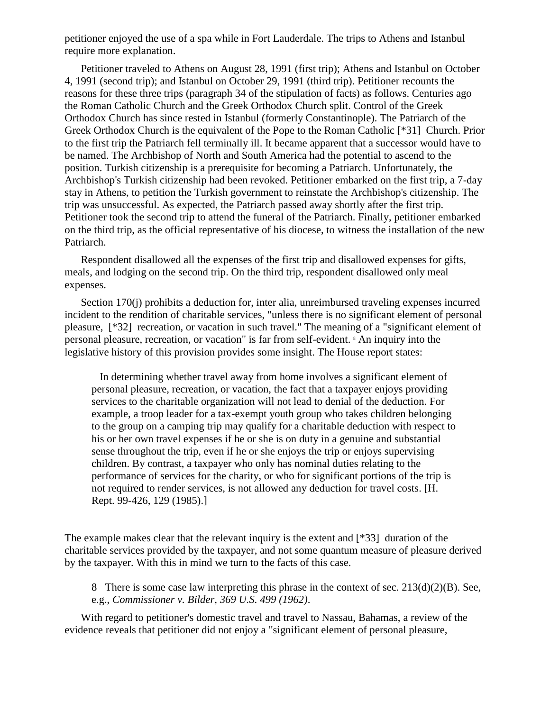petitioner enjoyed the use of a spa while in Fort Lauderdale. The trips to Athens and Istanbul require more explanation.

Petitioner traveled to Athens on August 28, 1991 (first trip); Athens and Istanbul on October 4, 1991 (second trip); and Istanbul on October 29, 1991 (third trip). Petitioner recounts the reasons for these three trips (paragraph 34 of the stipulation of facts) as follows. Centuries ago the Roman Catholic Church and the Greek Orthodox Church split. Control of the Greek Orthodox Church has since rested in Istanbul (formerly Constantinople). The Patriarch of the Greek Orthodox Church is the equivalent of the Pope to the Roman Catholic [\*31] Church. Prior to the first trip the Patriarch fell terminally ill. It became apparent that a successor would have to be named. The Archbishop of North and South America had the potential to ascend to the position. Turkish citizenship is a prerequisite for becoming a Patriarch. Unfortunately, the Archbishop's Turkish citizenship had been revoked. Petitioner embarked on the first trip, a 7-day stay in Athens, to petition the Turkish government to reinstate the Archbishop's citizenship. The trip was unsuccessful. As expected, the Patriarch passed away shortly after the first trip. Petitioner took the second trip to attend the funeral of the Patriarch. Finally, petitioner embarked on the third trip, as the official representative of his diocese, to witness the installation of the new Patriarch.

Respondent disallowed all the expenses of the first trip and disallowed expenses for gifts, meals, and lodging on the second trip. On the third trip, respondent disallowed only meal expenses.

Section 170(j) prohibits a deduction for, inter alia, unreimbursed traveling expenses incurred incident to the rendition of charitable services, "unless there is no significant element of personal pleasure, [\*32] recreation, or vacation in such travel." The meaning of a "significant element of personal pleasure, recreation, or vacation" is far from self-evident. <sup>8</sup> An inquiry into the legislative history of this provision provides some insight. The House report states:

 In determining whether travel away from home involves a significant element of personal pleasure, recreation, or vacation, the fact that a taxpayer enjoys providing services to the charitable organization will not lead to denial of the deduction. For example, a troop leader for a tax-exempt youth group who takes children belonging to the group on a camping trip may qualify for a charitable deduction with respect to his or her own travel expenses if he or she is on duty in a genuine and substantial sense throughout the trip, even if he or she enjoys the trip or enjoys supervising children. By contrast, a taxpayer who only has nominal duties relating to the performance of services for the charity, or who for significant portions of the trip is not required to render services, is not allowed any deduction for travel costs. [H. Rept. 99-426, 129 (1985).]

The example makes clear that the relevant inquiry is the extent and [\*33] duration of the charitable services provided by the taxpayer, and not some quantum measure of pleasure derived by the taxpayer. With this in mind we turn to the facts of this case.

8 There is some case law interpreting this phrase in the context of sec. 213(d)(2)(B). See, e.g., *Commissioner v. Bilder, 369 U.S. 499 (1962)*.

With regard to petitioner's domestic travel and travel to Nassau, Bahamas, a review of the evidence reveals that petitioner did not enjoy a "significant element of personal pleasure,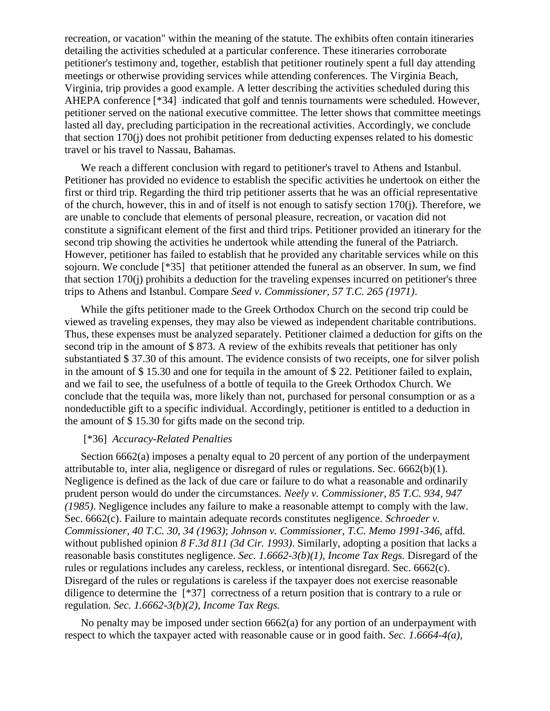recreation, or vacation" within the meaning of the statute. The exhibits often contain itineraries detailing the activities scheduled at a particular conference. These itineraries corroborate petitioner's testimony and, together, establish that petitioner routinely spent a full day attending meetings or otherwise providing services while attending conferences. The Virginia Beach, Virginia, trip provides a good example. A letter describing the activities scheduled during this AHEPA conference [\*34] indicated that golf and tennis tournaments were scheduled. However, petitioner served on the national executive committee. The letter shows that committee meetings lasted all day, precluding participation in the recreational activities. Accordingly, we conclude that section 170(j) does not prohibit petitioner from deducting expenses related to his domestic travel or his travel to Nassau, Bahamas.

We reach a different conclusion with regard to petitioner's travel to Athens and Istanbul. Petitioner has provided no evidence to establish the specific activities he undertook on either the first or third trip. Regarding the third trip petitioner asserts that he was an official representative of the church, however, this in and of itself is not enough to satisfy section 170(j). Therefore, we are unable to conclude that elements of personal pleasure, recreation, or vacation did not constitute a significant element of the first and third trips. Petitioner provided an itinerary for the second trip showing the activities he undertook while attending the funeral of the Patriarch. However, petitioner has failed to establish that he provided any charitable services while on this sojourn. We conclude [\*35] that petitioner attended the funeral as an observer. In sum, we find that section 170(j) prohibits a deduction for the traveling expenses incurred on petitioner's three trips to Athens and Istanbul. Compare *Seed v. Commissioner, 57 T.C. 265 (1971)*.

While the gifts petitioner made to the Greek Orthodox Church on the second trip could be viewed as traveling expenses, they may also be viewed as independent charitable contributions. Thus, these expenses must be analyzed separately. Petitioner claimed a deduction for gifts on the second trip in the amount of \$873. A review of the exhibits reveals that petitioner has only substantiated \$ 37.30 of this amount. The evidence consists of two receipts, one for silver polish in the amount of \$ 15.30 and one for tequila in the amount of \$ 22. Petitioner failed to explain, and we fail to see, the usefulness of a bottle of tequila to the Greek Orthodox Church. We conclude that the tequila was, more likely than not, purchased for personal consumption or as a nondeductible gift to a specific individual. Accordingly, petitioner is entitled to a deduction in the amount of \$ 15.30 for gifts made on the second trip.

#### [\*36] *Accuracy-Related Penalties*

Section 6662(a) imposes a penalty equal to 20 percent of any portion of the underpayment attributable to, inter alia, negligence or disregard of rules or regulations. Sec. 6662(b)(1). Negligence is defined as the lack of due care or failure to do what a reasonable and ordinarily prudent person would do under the circumstances. *Neely v. Commissioner, 85 T.C. 934, 947 (1985)*. Negligence includes any failure to make a reasonable attempt to comply with the law. Sec. 6662(c). Failure to maintain adequate records constitutes negligence. *Schroeder v. Commissioner, 40 T.C. 30, 34 (1963)*; *Johnson v. Commissioner, T.C. Memo 1991-346*, affd. without published opinion *8 F.3d 811 (3d Cir. 1993)*. Similarly, adopting a position that lacks a reasonable basis constitutes negligence. *Sec. 1.6662-3(b)(1), Income Tax Regs.* Disregard of the rules or regulations includes any careless, reckless, or intentional disregard. Sec. 6662(c). Disregard of the rules or regulations is careless if the taxpayer does not exercise reasonable diligence to determine the [\*37] correctness of a return position that is contrary to a rule or regulation. *Sec. 1.6662-3(b)(2), Income Tax Regs.*

No penalty may be imposed under section  $6662(a)$  for any portion of an underpayment with respect to which the taxpayer acted with reasonable cause or in good faith. *Sec. 1.6664-4(a),*